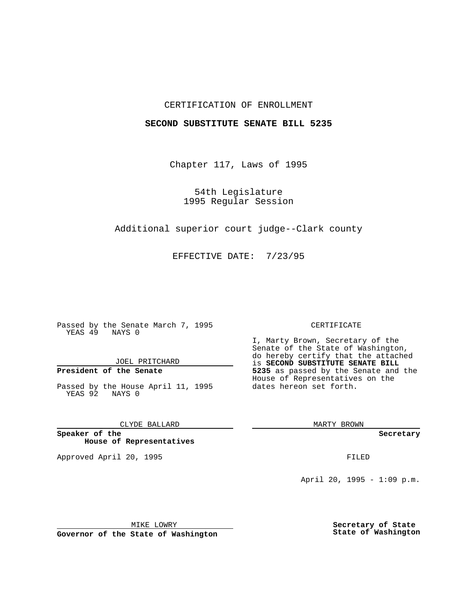## CERTIFICATION OF ENROLLMENT

## **SECOND SUBSTITUTE SENATE BILL 5235**

Chapter 117, Laws of 1995

54th Legislature 1995 Regular Session

Additional superior court judge--Clark county

EFFECTIVE DATE: 7/23/95

Passed by the Senate March 7, 1995 YEAS 49 NAYS 0

JOEL PRITCHARD

**President of the Senate**

Passed by the House April 11, 1995 YEAS 92 NAYS 0

CLYDE BALLARD

**Speaker of the House of Representatives**

Approved April 20, 1995 FILED

#### CERTIFICATE

I, Marty Brown, Secretary of the Senate of the State of Washington, do hereby certify that the attached is **SECOND SUBSTITUTE SENATE BILL 5235** as passed by the Senate and the House of Representatives on the dates hereon set forth.

MARTY BROWN

**Secretary**

April 20, 1995 - 1:09 p.m.

MIKE LOWRY

**Governor of the State of Washington**

**Secretary of State State of Washington**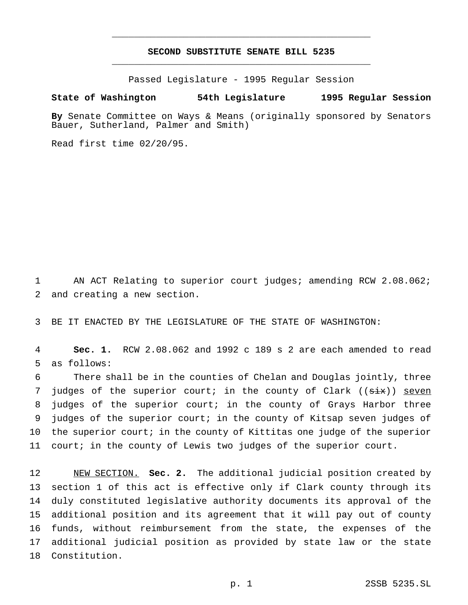# **SECOND SUBSTITUTE SENATE BILL 5235** \_\_\_\_\_\_\_\_\_\_\_\_\_\_\_\_\_\_\_\_\_\_\_\_\_\_\_\_\_\_\_\_\_\_\_\_\_\_\_\_\_\_\_\_\_\_\_

\_\_\_\_\_\_\_\_\_\_\_\_\_\_\_\_\_\_\_\_\_\_\_\_\_\_\_\_\_\_\_\_\_\_\_\_\_\_\_\_\_\_\_\_\_\_\_

Passed Legislature - 1995 Regular Session

### **State of Washington 54th Legislature 1995 Regular Session**

**By** Senate Committee on Ways & Means (originally sponsored by Senators Bauer, Sutherland, Palmer and Smith)

Read first time 02/20/95.

1 AN ACT Relating to superior court judges; amending RCW 2.08.062; 2 and creating a new section.

3 BE IT ENACTED BY THE LEGISLATURE OF THE STATE OF WASHINGTON:

4 **Sec. 1.** RCW 2.08.062 and 1992 c 189 s 2 are each amended to read 5 as follows:

 There shall be in the counties of Chelan and Douglas jointly, three 7 judges of the superior court; in the county of Clark ((six)) seven judges of the superior court; in the county of Grays Harbor three judges of the superior court; in the county of Kitsap seven judges of the superior court; in the county of Kittitas one judge of the superior court; in the county of Lewis two judges of the superior court.

 NEW SECTION. **Sec. 2.** The additional judicial position created by section 1 of this act is effective only if Clark county through its duly constituted legislative authority documents its approval of the additional position and its agreement that it will pay out of county funds, without reimbursement from the state, the expenses of the additional judicial position as provided by state law or the state Constitution.